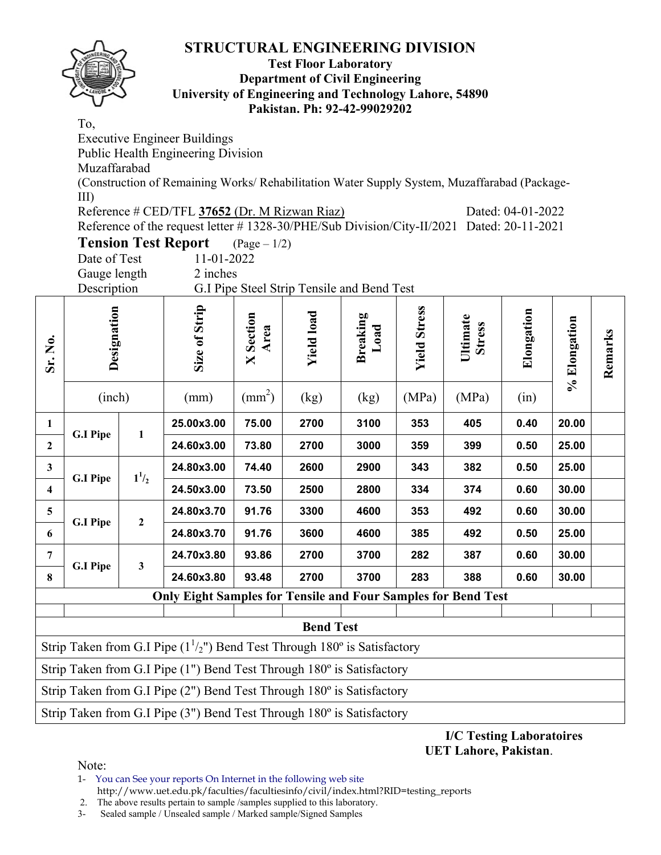

#### **Test Floor Laboratory Department of Civil Engineering University of Engineering and Technology Lahore, 54890 Pakistan. Ph: 92-42-99029202**

To,

Executive Engineer Buildings Public Health Engineering Division Muzaffarabad (Construction of Remaining Works/ Rehabilitation Water Supply System, Muzaffarabad (Package-III) Reference # CED/TFL **37652** (Dr. M Rizwan Riaz) Dated: 04-01-2022

| Reference of the request letter # 1328-30/PHE/Sub Division/City-II/2021 Dated: 20-11-2021 |  |  |
|-------------------------------------------------------------------------------------------|--|--|

| <b>Tension Test Report</b> |            | $(\text{Page} - 1/2)$ |
|----------------------------|------------|-----------------------|
| Date of Test               | 11-01-2022 |                       |

Gauge length 2 inches

Description G.I Pipe Steel Strip Tensile and Bend Test

| Sr. No.                 | Designation                                                                                         |                | Size of Strip                                                         | Section<br>Area<br>$\mathsf{X}$ | <b>Yield load</b> | <b>Breaking</b><br>Load | <b>Yield Stress</b> | Ultimate<br><b>Stress</b> | Elongation | % Elongation | Remarks |  |
|-------------------------|-----------------------------------------------------------------------------------------------------|----------------|-----------------------------------------------------------------------|---------------------------------|-------------------|-------------------------|---------------------|---------------------------|------------|--------------|---------|--|
|                         | (inch)                                                                                              |                | (mm)                                                                  | $\text{(mm}^2)$                 | (kg)              | (kg)                    | (MPa)               | (MPa)                     | (in)       |              |         |  |
| $\mathbf{1}$            | <b>G.I Pipe</b>                                                                                     | $\mathbf{1}$   | 25.00x3.00                                                            | 75.00                           | 2700              | 3100                    | 353                 | 405                       | 0.40       | 20.00        |         |  |
| $\overline{2}$          |                                                                                                     |                | 24.60x3.00                                                            | 73.80                           | 2700              | 3000                    | 359                 | 399                       | 0.50       | 25.00        |         |  |
| $\mathbf{3}$            | <b>G.I Pipe</b>                                                                                     | $1^{1/2}$      | 24.80x3.00                                                            | 74.40                           | 2600              | 2900                    | 343                 | 382                       | 0.50       | 25.00        |         |  |
| $\overline{\mathbf{4}}$ |                                                                                                     |                | 24.50x3.00                                                            | 73.50                           | 2500              | 2800                    | 334                 | 374                       | 0.60       | 30.00        |         |  |
| 5                       | <b>G.I Pipe</b>                                                                                     | $\overline{2}$ | 24.80x3.70                                                            | 91.76                           | 3300              | 4600                    | 353                 | 492                       | 0.60       | 30.00        |         |  |
| 6                       |                                                                                                     |                | 24.80x3.70                                                            | 91.76                           | 3600              | 4600                    | 385                 | 492                       | 0.50       | 25.00        |         |  |
| 7                       | <b>G.I Pipe</b>                                                                                     | 3              | 24.70x3.80                                                            | 93.86                           | 2700              | 3700                    | 282                 | 387                       | 0.60       | 30.00        |         |  |
| 8                       |                                                                                                     |                | 24.60x3.80                                                            | 93.48                           | 2700              | 3700                    | 283                 | 388                       | 0.60       | 30.00        |         |  |
|                         |                                                                                                     |                | <b>Only Eight Samples for Tensile and Four Samples for Bend Test</b>  |                                 |                   |                         |                     |                           |            |              |         |  |
|                         |                                                                                                     |                |                                                                       |                                 |                   |                         |                     |                           |            |              |         |  |
|                         | <b>Bend Test</b><br>Strip Taken from G.I Pipe $(1^{1}/2)$ ") Bend Test Through 180° is Satisfactory |                |                                                                       |                                 |                   |                         |                     |                           |            |              |         |  |
|                         | Strip Taken from G.I Pipe (1") Bend Test Through 180° is Satisfactory                               |                |                                                                       |                                 |                   |                         |                     |                           |            |              |         |  |
|                         | Strip Taken from G.I Pipe (2") Bend Test Through 180° is Satisfactory                               |                |                                                                       |                                 |                   |                         |                     |                           |            |              |         |  |
|                         |                                                                                                     |                | Strip Taken from G.I Pipe (3") Bend Test Through 180° is Satisfactory |                                 |                   |                         |                     |                           |            |              |         |  |

**I/C Testing Laboratoires UET Lahore, Pakistan**.

Note:

1- You can See your reports On Internet in the following web site http://www.uet.edu.pk/faculties/facultiesinfo/civil/index.html?RID=testing\_reports

2. The above results pertain to sample / samples supplied to this laboratory.<br>3- Sealed sample / Unsealed sample / Marked sample/Signed Samples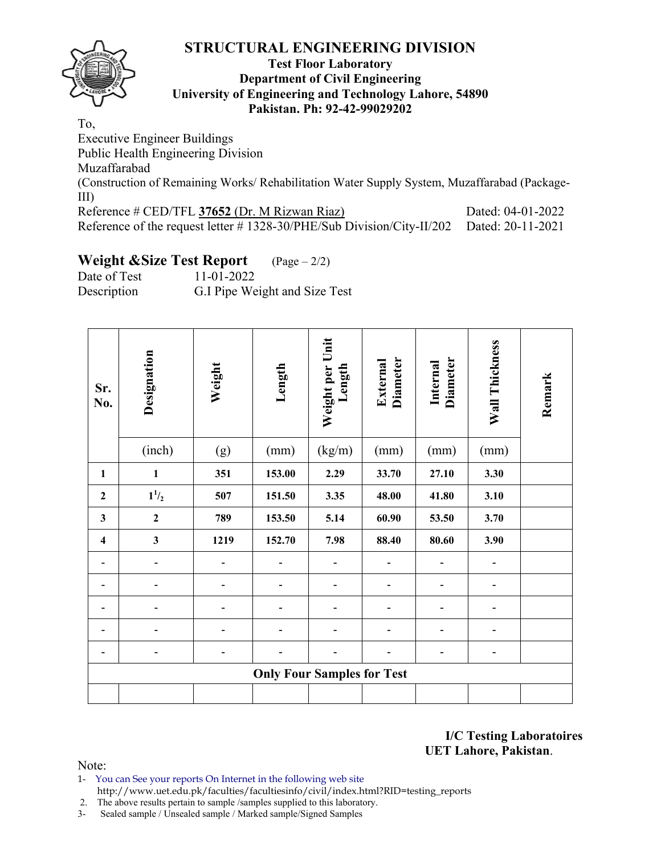### **Test Floor Laboratory Department of Civil Engineering University of Engineering and Technology Lahore, 54890 Pakistan. Ph: 92-42-99029202**

To,

Executive Engineer Buildings Public Health Engineering Division Muzaffarabad (Construction of Remaining Works/ Rehabilitation Water Supply System, Muzaffarabad (Package-III) Reference # CED/TFL 37652 (Dr. M Rizwan Riaz) Dated: 04-01-2022 Reference of the request letter # 1328-30/PHE/Sub Division/City-II/202 Dated: 20-11-2021

# **Weight &Size Test Report** (Page – 2/2)

Date of Test 11-01-2022 Description G.I Pipe Weight and Size Test

| Sr.<br>No.              | Designation  | Weight | Length                            | Weight per Unit<br>Length | <b>Diameter</b><br>External | <b>Diameter</b><br>Internal | Wall Thickness | Remark |
|-------------------------|--------------|--------|-----------------------------------|---------------------------|-----------------------------|-----------------------------|----------------|--------|
|                         | (inch)       | (g)    | (mm)                              | (kg/m)                    | (mm)                        | (mm)                        | (mm)           |        |
| $\mathbf{1}$            | $\mathbf{1}$ | 351    | 153.00                            | 2.29                      | 33.70                       | 27.10                       | 3.30           |        |
| $\mathbf{2}$            | $1^{1/2}$    | 507    | 151.50                            | 3.35                      | 48.00                       | 41.80                       | 3.10           |        |
| $\mathbf{3}$            | $\mathbf 2$  | 789    | 153.50                            | 5.14                      | 60.90                       | 53.50                       | 3.70           |        |
| $\overline{\mathbf{4}}$ | $\mathbf{3}$ | 1219   | 152.70                            | 7.98                      | 88.40                       | 80.60                       | 3.90           |        |
| ۰                       | ٠            |        |                                   |                           |                             | ۰                           | ۰              |        |
|                         |              |        |                                   |                           |                             | -                           | ۰              |        |
|                         |              |        |                                   |                           |                             |                             |                |        |
|                         |              |        |                                   |                           |                             |                             | ۰              |        |
|                         |              |        |                                   |                           |                             | ۰                           | ۰              |        |
|                         |              |        | <b>Only Four Samples for Test</b> |                           |                             |                             |                |        |
|                         |              |        |                                   |                           |                             |                             |                |        |

**I/C Testing Laboratoires UET Lahore, Pakistan**.

Note:

1- You can See your reports On Internet in the following web site http://www.uet.edu.pk/faculties/facultiesinfo/civil/index.html?RID=testing\_reports

2. The above results pertain to sample /samples supplied to this laboratory.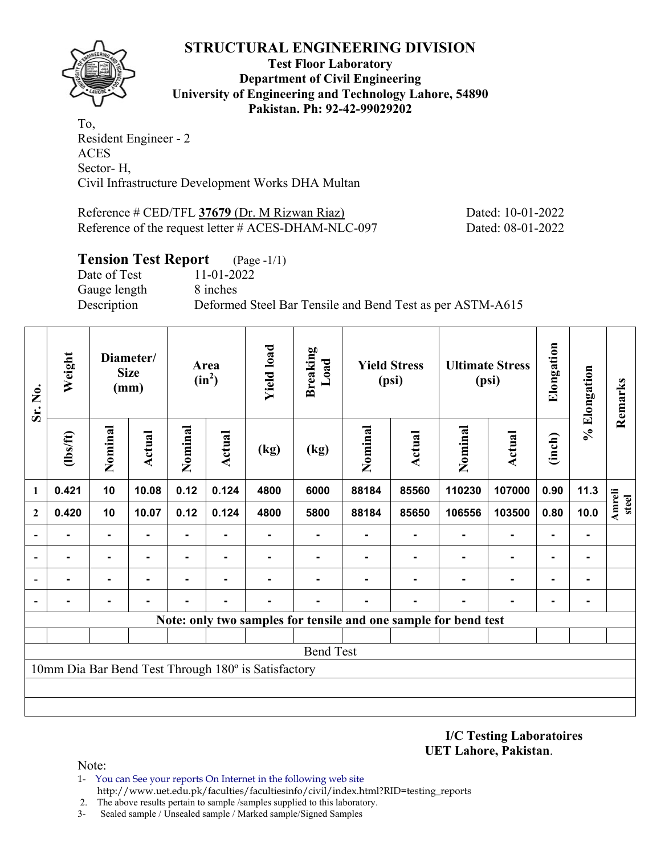

**Test Floor Laboratory Department of Civil Engineering University of Engineering and Technology Lahore, 54890 Pakistan. Ph: 92-42-99029202** 

To, Resident Engineer - 2 ACES Sector- H, Civil Infrastructure Development Works DHA Multan

Reference # CED/TFL **37679** (Dr. M Rizwan Riaz) Dated: 10-01-2022 Reference of the request letter # ACES-DHAM-NLC-097 Dated: 08-01-2022

## **Tension Test Report** (Page -1/1)

Date of Test 11-01-2022 Gauge length 8 inches

Description Deformed Steel Bar Tensile and Bend Test as per ASTM-A615

| Sr. No.        | Weight         |                | Diameter/<br><b>Size</b><br>(mm) |         | Area<br>$(in^2)$ | <b>Yield load</b>                                   | <b>Breaking</b><br>Load |                | <b>Yield Stress</b><br>(psi) | <b>Ultimate Stress</b><br>(psi)                                 |                | Elongation     | % Elongation   | Remarks                |
|----------------|----------------|----------------|----------------------------------|---------|------------------|-----------------------------------------------------|-------------------------|----------------|------------------------------|-----------------------------------------------------------------|----------------|----------------|----------------|------------------------|
|                | (1bs/ft)       | Nominal        | Actual                           | Nominal | <b>Actual</b>    | (kg)                                                | (kg)                    | Nominal        | <b>Actual</b>                | Nominal                                                         | <b>Actual</b>  | (inch)         |                |                        |
| 1              | 0.421          | 10             | 10.08                            | 0.12    | 0.124            | 4800                                                | 6000                    | 88184          | 85560                        | 110230                                                          | 107000         | 0.90           | 11.3           |                        |
| $\mathbf{2}$   | 0.420          | 10             | 10.07                            | 0.12    | 0.124            | 4800                                                | 5800                    | 88184          | 85650                        | 106556                                                          | 103500         | 0.80           | 10.0           | <b>Amreli</b><br>steel |
| $\overline{a}$ |                | $\blacksquare$ |                                  |         |                  |                                                     |                         |                |                              |                                                                 |                |                | $\blacksquare$ |                        |
| $\blacksquare$ | $\blacksquare$ | $\blacksquare$ | -                                | ۰       | $\blacksquare$   |                                                     |                         |                |                              |                                                                 | ٠              | $\blacksquare$ | $\blacksquare$ |                        |
| $\blacksquare$ | $\blacksquare$ | $\blacksquare$ | ۰.                               | ۰       | ۰                |                                                     |                         | $\blacksquare$ |                              | $\blacksquare$                                                  | $\blacksquare$ | $\blacksquare$ | $\blacksquare$ |                        |
|                | $\blacksquare$ | ۰              | $\blacksquare$                   | -       | $\blacksquare$   |                                                     |                         |                | $\blacksquare$               | ۰                                                               | $\blacksquare$ | $\blacksquare$ | $\blacksquare$ |                        |
|                |                |                |                                  |         |                  |                                                     |                         |                |                              | Note: only two samples for tensile and one sample for bend test |                |                |                |                        |
|                |                |                |                                  |         |                  |                                                     |                         |                |                              |                                                                 |                |                |                |                        |
|                |                |                |                                  |         |                  |                                                     | <b>Bend Test</b>        |                |                              |                                                                 |                |                |                |                        |
|                |                |                |                                  |         |                  | 10mm Dia Bar Bend Test Through 180° is Satisfactory |                         |                |                              |                                                                 |                |                |                |                        |
|                |                |                |                                  |         |                  |                                                     |                         |                |                              |                                                                 |                |                |                |                        |
|                |                |                |                                  |         |                  |                                                     |                         |                |                              |                                                                 |                |                |                |                        |

**I/C Testing Laboratoires UET Lahore, Pakistan**.

- 1- You can See your reports On Internet in the following web site http://www.uet.edu.pk/faculties/facultiesinfo/civil/index.html?RID=testing\_reports
- 2. The above results pertain to sample /samples supplied to this laboratory.
- 3- Sealed sample / Unsealed sample / Marked sample/Signed Samples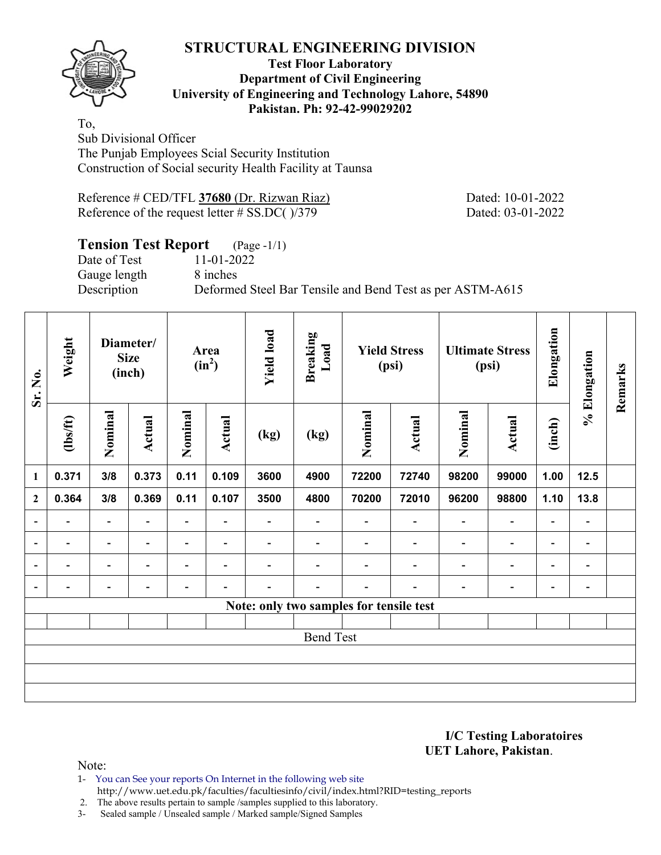

### **Test Floor Laboratory Department of Civil Engineering University of Engineering and Technology Lahore, 54890 Pakistan. Ph: 92-42-99029202**

To, Sub Divisional Officer The Punjab Employees Scial Security Institution Construction of Social security Health Facility at Taunsa

Reference # CED/TFL **37680** (Dr. Rizwan Riaz) Dated: 10-01-2022 Reference of the request letter # SS.DC( )/379 Dated: 03-01-2022

# **Tension Test Report** (Page -1/1)

Date of Test 11-01-2022 Gauge length 8 inches

Description Deformed Steel Bar Tensile and Bend Test as per ASTM-A615

| Sr. No.                  | Weight                   |                          | Diameter/<br><b>Size</b><br>(inch) |                | Area<br>$(in^2)$         | <b>Yield load</b>        | <b>Breaking</b><br>Load                 |                          | <b>Yield Stress</b><br>(psi) | <b>Ultimate Stress</b><br>(psi) |                          | Elongation               | % Elongation                 | Remarks |
|--------------------------|--------------------------|--------------------------|------------------------------------|----------------|--------------------------|--------------------------|-----------------------------------------|--------------------------|------------------------------|---------------------------------|--------------------------|--------------------------|------------------------------|---------|
|                          | $\frac{2}{10}$           | Nominal                  | Actual                             | Nominal        | <b>Actual</b>            | (kg)                     | (kg)                                    | Nominal                  | Actual                       | Nominal                         | Actual                   | (inch)                   |                              |         |
| $\mathbf{1}$             | 0.371                    | 3/8                      | 0.373                              | 0.11           | 0.109                    | 3600                     | 4900                                    | 72200                    | 72740                        | 98200                           | 99000                    | 1.00                     | 12.5                         |         |
| $\mathbf{2}$             | 0.364                    | 3/8                      | 0.369                              | 0.11           | 0.107                    | 3500                     | 4800                                    | 70200                    | 72010                        | 96200                           | 98800                    | 1.10                     | 13.8                         |         |
| $\overline{\phantom{a}}$ | $\overline{\phantom{0}}$ | $\overline{\phantom{a}}$ | $\overline{\phantom{0}}$           | $\blacksquare$ | $\blacksquare$           | $\overline{\phantom{0}}$ | $\overline{\phantom{a}}$                | $\overline{\phantom{0}}$ | $\overline{\phantom{0}}$     | $\blacksquare$                  | $\blacksquare$           | $\overline{\phantom{a}}$ | $\blacksquare$               |         |
| $\overline{a}$           |                          | $\overline{\phantom{0}}$ |                                    | -              | $\overline{\phantom{0}}$ |                          |                                         |                          |                              | $\overline{\phantom{0}}$        | $\overline{a}$           | $\overline{\phantom{0}}$ | $\qquad \qquad \blacksquare$ |         |
| $\overline{a}$           |                          | $\overline{\phantom{0}}$ |                                    | -              | $\overline{\phantom{a}}$ |                          |                                         |                          |                              | ٠                               | -                        | $\overline{\phantom{0}}$ | $\overline{\phantom{0}}$     |         |
| $\overline{\phantom{a}}$ | -                        | $\overline{\phantom{0}}$ |                                    |                |                          |                          |                                         |                          |                              |                                 | $\overline{\phantom{0}}$ | $\overline{\phantom{0}}$ | $\qquad \qquad \blacksquare$ |         |
|                          |                          |                          |                                    |                |                          |                          | Note: only two samples for tensile test |                          |                              |                                 |                          |                          |                              |         |
|                          |                          |                          |                                    |                |                          |                          |                                         |                          |                              |                                 |                          |                          |                              |         |
|                          |                          |                          |                                    |                |                          |                          | <b>Bend Test</b>                        |                          |                              |                                 |                          |                          |                              |         |
|                          |                          |                          |                                    |                |                          |                          |                                         |                          |                              |                                 |                          |                          |                              |         |
|                          |                          |                          |                                    |                |                          |                          |                                         |                          |                              |                                 |                          |                          |                              |         |
|                          |                          |                          |                                    |                |                          |                          |                                         |                          |                              |                                 |                          |                          |                              |         |

**I/C Testing Laboratoires UET Lahore, Pakistan**.

Note:

1- You can See your reports On Internet in the following web site

http://www.uet.edu.pk/faculties/facultiesinfo/civil/index.html?RID=testing\_reports

2. The above results pertain to sample /samples supplied to this laboratory.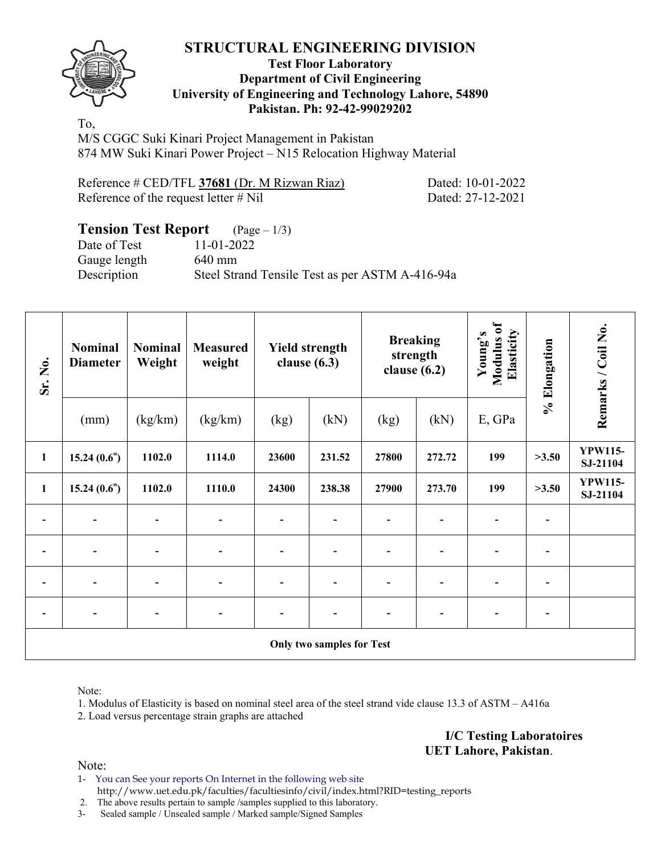### **Test Floor Laboratory Department of Civil Engineering University of Engineering and Technology Lahore, 54890 Pakistan. Ph: 92-42-99029202**

To, M/S CGGC Suki Kinari Project Management in Pakistan 874 MW Suki Kinari Power Project – N15 Relocation Highway Material

| Reference # CED/TFL 37681 (Dr. M Rizwan Riaz) |
|-----------------------------------------------|
| Reference of the request letter $#$ Nil       |

Dated: 10-01-2022 Dated: 27-12-2021

### **Tension Test Report** (Page – 1/3) Date of Test 11-01-2022 Gauge length 640 mm Description Steel Strand Tensile Test as per ASTM A-416-94a

| Sr. No.                  | <b>Nominal</b><br><b>Diameter</b> | <b>Nominal</b><br>Weight | <b>Measured</b><br>weight    |                          | <b>Yield strength</b><br>clause $(6.3)$ | <b>Breaking</b><br>strength<br>clause $(6.2)$ |                          | Modulus of<br>Elasticity<br>Young's | % Elongation   | Remarks / Coil No.         |
|--------------------------|-----------------------------------|--------------------------|------------------------------|--------------------------|-----------------------------------------|-----------------------------------------------|--------------------------|-------------------------------------|----------------|----------------------------|
|                          | (mm)                              | (kg/km)                  | (kg/km)                      | (kg)                     | (kN)                                    | (kg)                                          | (kN)                     | E, GPa                              |                |                            |
| $\mathbf{1}$             | 15.24(0.6")                       | 1102.0                   | 1114.0                       | 23600                    | 231.52                                  | 27800                                         | 272.72                   | 199                                 | >3.50          | <b>YPW115-</b><br>SJ-21104 |
| $\mathbf{1}$             | 15.24(0.6")                       | 1102.0                   | 1110.0                       | 24300                    | 238.38                                  | 27900                                         | 273.70                   | 199                                 | >3.50          | <b>YPW115-</b><br>SJ-21104 |
|                          |                                   |                          |                              | $\overline{\phantom{0}}$ |                                         |                                               |                          |                                     |                |                            |
| $\overline{\phantom{0}}$ |                                   |                          |                              | $\blacksquare$           |                                         | $\overline{\phantom{0}}$                      |                          |                                     | $\overline{a}$ |                            |
| $\blacksquare$           |                                   |                          |                              | $\overline{\phantom{0}}$ |                                         | $\overline{a}$                                |                          |                                     | $\overline{a}$ |                            |
| $\overline{\phantom{a}}$ | $\overline{\phantom{a}}$          | $\overline{a}$           | $\qquad \qquad \blacksquare$ | $\overline{\phantom{a}}$ |                                         | $\overline{a}$                                | $\overline{\phantom{0}}$ |                                     | -              |                            |
|                          |                                   |                          |                              |                          | <b>Only two samples for Test</b>        |                                               |                          |                                     |                |                            |

Note:

1. Modulus of Elasticity is based on nominal steel area of the steel strand vide clause 13.3 of ASTM – A416a

2. Load versus percentage strain graphs are attached

**I/C Testing Laboratoires UET Lahore, Pakistan**.

Note:

1- You can See your reports On Internet in the following web site http://www.uet.edu.pk/faculties/facultiesinfo/civil/index.html?RID=testing\_reports

2. The above results pertain to sample /samples supplied to this laboratory.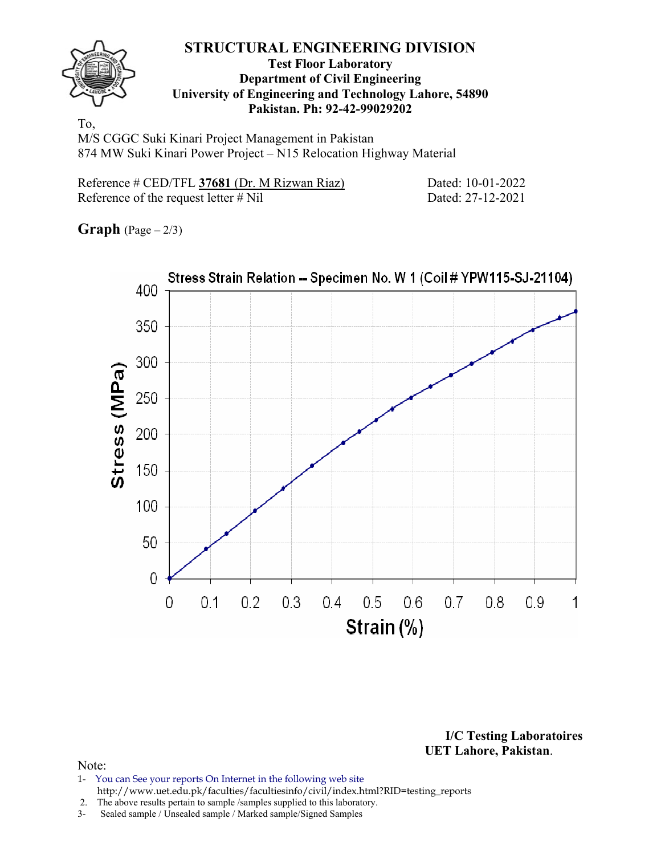

#### **Test Floor Laboratory Department of Civil Engineering University of Engineering and Technology Lahore, 54890 Pakistan. Ph: 92-42-99029202**

To, M/S CGGC Suki Kinari Project Management in Pakistan 874 MW Suki Kinari Power Project – N15 Relocation Highway Material

| Reference # CED/TFL 37681 (Dr. M Rizwan Riaz) |  |
|-----------------------------------------------|--|
| Reference of the request letter $\#$ Nil      |  |

Dated: 10-01-2022 Dated: 27-12-2021

**Graph**  $(Page - 2/3)$ 



**I/C Testing Laboratoires UET Lahore, Pakistan**.

- 1- You can See your reports On Internet in the following web site http://www.uet.edu.pk/faculties/facultiesinfo/civil/index.html?RID=testing\_reports
- 2. The above results pertain to sample /samples supplied to this laboratory.
- 3- Sealed sample / Unsealed sample / Marked sample/Signed Samples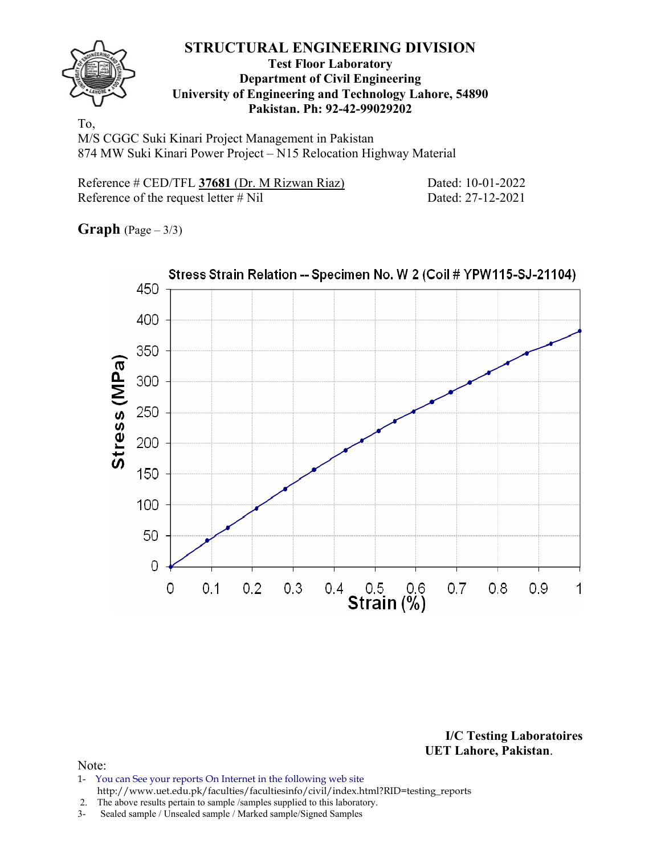

#### **Test Floor Laboratory Department of Civil Engineering University of Engineering and Technology Lahore, 54890 Pakistan. Ph: 92-42-99029202**

To, M/S CGGC Suki Kinari Project Management in Pakistan 874 MW Suki Kinari Power Project – N15 Relocation Highway Material

| Reference # CED/TFL 37681 (Dr. M Rizwan Riaz) |  |  |  |  |
|-----------------------------------------------|--|--|--|--|
| Reference of the request letter $\#$ Nil      |  |  |  |  |

Dated: 10-01-2022 Dated: 27-12-2021

**Graph**  $(Page - 3/3)$ 



**I/C Testing Laboratoires UET Lahore, Pakistan**.

#### Note:

1- You can See your reports On Internet in the following web site http://www.uet.edu.pk/faculties/facultiesinfo/civil/index.html?RID=testing\_reports

2. The above results pertain to sample /samples supplied to this laboratory.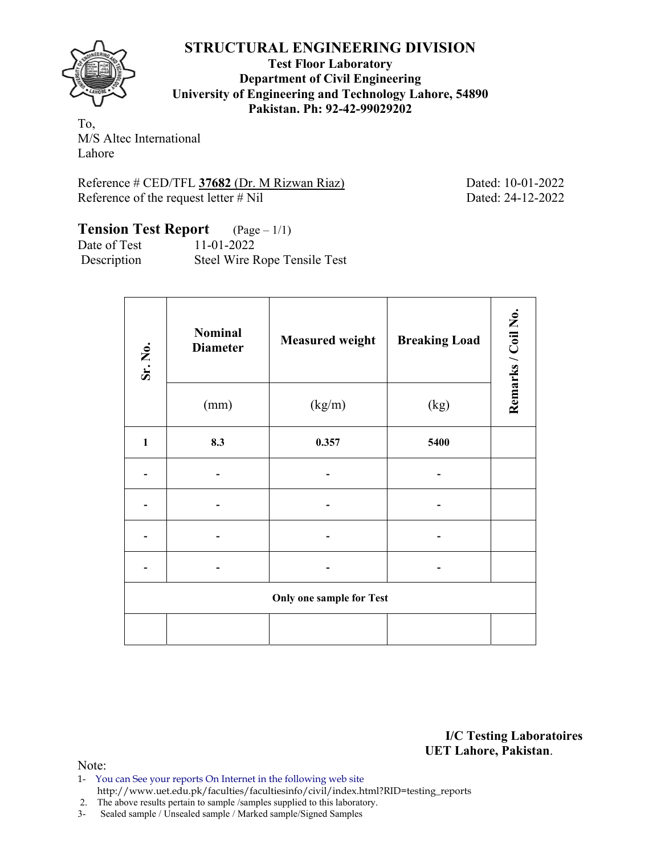**Test Floor Laboratory Department of Civil Engineering University of Engineering and Technology Lahore, 54890 Pakistan. Ph: 92-42-99029202** 

To, M/S Altec International Lahore

Reference # CED/TFL **37682** (Dr. M Rizwan Riaz) Dated: 10-01-2022 Reference of the request letter # Nil Dated: 24-12-2022

# **Tension Test Report** (Page – 1/1)

Date of Test 11-01-2022 Description Steel Wire Rope Tensile Test

| Sr. No.      | <b>Nominal</b><br><b>Diameter</b> | <b>Measured weight</b>          | <b>Breaking Load</b> | Remarks / Coil No. |
|--------------|-----------------------------------|---------------------------------|----------------------|--------------------|
|              | (mm)                              | (kg/m)                          | (kg)                 |                    |
| $\mathbf{1}$ | 8.3                               | 0.357                           | 5400                 |                    |
|              |                                   |                                 |                      |                    |
|              |                                   |                                 |                      |                    |
|              |                                   |                                 |                      |                    |
|              |                                   |                                 |                      |                    |
|              |                                   | <b>Only one sample for Test</b> |                      |                    |
|              |                                   |                                 |                      |                    |

**I/C Testing Laboratoires UET Lahore, Pakistan**.

- 1- You can See your reports On Internet in the following web site http://www.uet.edu.pk/faculties/facultiesinfo/civil/index.html?RID=testing\_reports
- 2. The above results pertain to sample /samples supplied to this laboratory.
- 3- Sealed sample / Unsealed sample / Marked sample/Signed Samples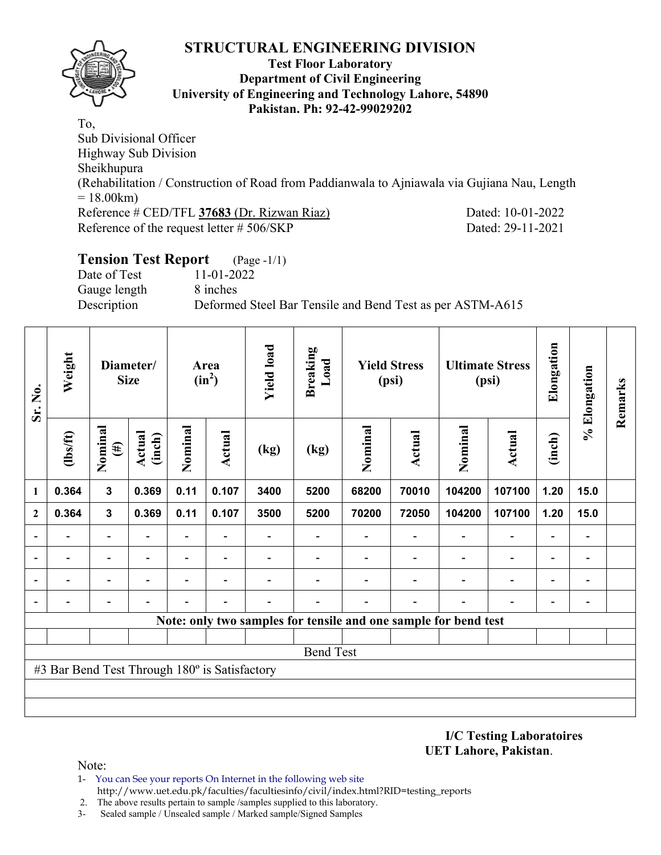

### **Test Floor Laboratory Department of Civil Engineering University of Engineering and Technology Lahore, 54890 Pakistan. Ph: 92-42-99029202**

To, Sub Divisional Officer Highway Sub Division Sheikhupura (Rehabilitation / Construction of Road from Paddianwala to Ajniawala via Gujiana Nau, Length  $= 18.00 \text{km}$ Reference # CED/TFL **37683** (Dr. Rizwan Riaz) Dated: 10-01-2022 Reference of the request letter # 506/SKP Dated: 29-11-2021

# **Tension Test Report** (Page -1/1) Date of Test 11-01-2022 Gauge length 8 inches Description Deformed Steel Bar Tensile and Bend Test as per ASTM-A615

| Sr. No.                  | Weight                                        |                          | Diameter/<br><b>Size</b> |                          | Area<br>$(in^2)$         | <b>Yield load</b> | <b>Breaking</b><br>Load                                         | <b>Yield Stress</b><br><b>Ultimate Stress</b><br>(psi)<br>(psi) |               |         |                          | % Elongation             | Remarks                      |  |
|--------------------------|-----------------------------------------------|--------------------------|--------------------------|--------------------------|--------------------------|-------------------|-----------------------------------------------------------------|-----------------------------------------------------------------|---------------|---------|--------------------------|--------------------------|------------------------------|--|
|                          | (1bs/ft)                                      | Nominal<br>$(\#)$        | <b>Actual</b><br>(inch)  | Nominal                  | <b>Actual</b>            | (kg)              | (kg)                                                            | Nominal                                                         | <b>Actual</b> | Nominal | Actual                   | (inch)                   |                              |  |
| 1                        | 0.364                                         | $\mathbf{3}$             | 0.369                    | 0.11                     | 0.107                    | 3400              | 5200                                                            | 68200                                                           | 70010         | 104200  | 107100                   | 1.20                     | 15.0                         |  |
| $\mathbf{2}$             | 0.364                                         | $\mathbf{3}$             | 0.369                    | 0.11                     | 0.107                    | 3500              | 5200                                                            | 70200                                                           | 72050         | 104200  | 107100                   | 1.20                     | 15.0                         |  |
|                          |                                               |                          |                          |                          |                          |                   |                                                                 |                                                                 |               |         | $\overline{\phantom{0}}$ |                          | $\qquad \qquad \blacksquare$ |  |
| $\overline{\phantom{0}}$ |                                               |                          |                          |                          |                          |                   |                                                                 |                                                                 |               |         | $\overline{\phantom{0}}$ |                          | $\qquad \qquad \blacksquare$ |  |
|                          |                                               | $\overline{\phantom{0}}$ | $\overline{a}$           | $\overline{\phantom{0}}$ | $\overline{\phantom{0}}$ |                   |                                                                 |                                                                 |               |         | $\blacksquare$           | $\overline{\phantom{0}}$ | $\qquad \qquad \blacksquare$ |  |
| $\overline{\phantom{0}}$ |                                               |                          |                          |                          |                          |                   |                                                                 |                                                                 |               |         |                          |                          | $\overline{a}$               |  |
|                          |                                               |                          |                          |                          |                          |                   | Note: only two samples for tensile and one sample for bend test |                                                                 |               |         |                          |                          |                              |  |
|                          |                                               |                          |                          |                          |                          |                   |                                                                 |                                                                 |               |         |                          |                          |                              |  |
|                          |                                               |                          |                          |                          |                          |                   | <b>Bend Test</b>                                                |                                                                 |               |         |                          |                          |                              |  |
|                          | #3 Bar Bend Test Through 180° is Satisfactory |                          |                          |                          |                          |                   |                                                                 |                                                                 |               |         |                          |                          |                              |  |
|                          |                                               |                          |                          |                          |                          |                   |                                                                 |                                                                 |               |         |                          |                          |                              |  |
|                          |                                               |                          |                          |                          |                          |                   |                                                                 |                                                                 |               |         |                          |                          |                              |  |

**I/C Testing Laboratoires UET Lahore, Pakistan**.

Note:

1- You can See your reports On Internet in the following web site http://www.uet.edu.pk/faculties/facultiesinfo/civil/index.html?RID=testing\_reports

2. The above results pertain to sample /samples supplied to this laboratory.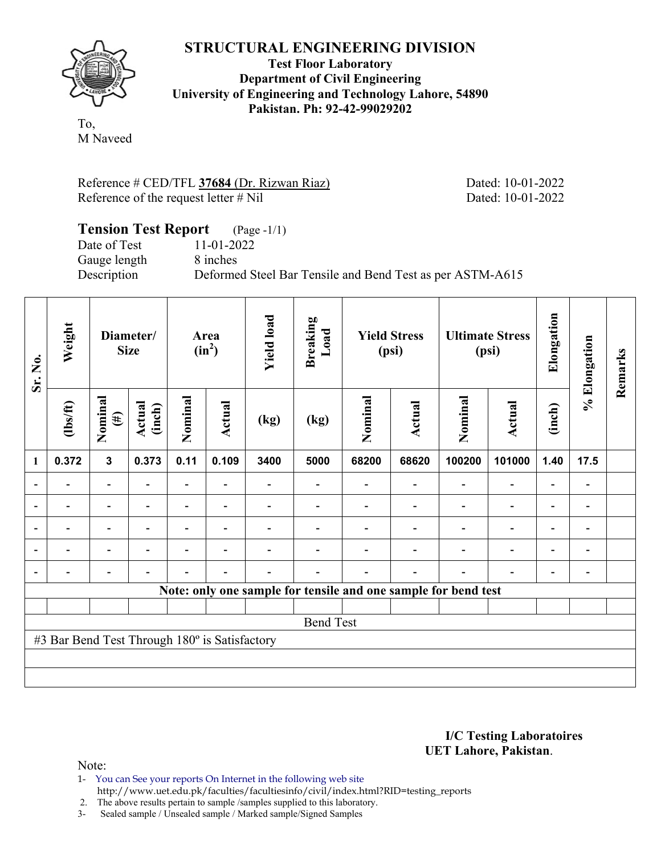

**Test Floor Laboratory Department of Civil Engineering University of Engineering and Technology Lahore, 54890 Pakistan. Ph: 92-42-99029202** 

To, M Naveed

Reference # CED/TFL **37684** (Dr. Rizwan Riaz) Dated: 10-01-2022 Reference of the request letter # Nil Dated: 10-01-2022

## **Tension Test Report** (Page -1/1) Date of Test 11-01-2022 Gauge length 8 inches Description Deformed Steel Bar Tensile and Bend Test as per ASTM-A615

| Sr. No.          | Weight                                        | Diameter/<br><b>Size</b> |                  | Area<br>$(in^2)$ |                          | <b>Yield load</b> | <b>Breaking</b><br>Load                                        | <b>Yield Stress</b><br>(psi) |               | <b>Ultimate Stress</b><br>(psi) |                | Elongation | % Elongation             | Remarks |
|------------------|-----------------------------------------------|--------------------------|------------------|------------------|--------------------------|-------------------|----------------------------------------------------------------|------------------------------|---------------|---------------------------------|----------------|------------|--------------------------|---------|
|                  | $\frac{2}{10}$                                | Nominal<br>$(\#)$        | Actual<br>(inch) | Nominal          | Actual                   | (kg)              | (kg)                                                           | Nominal                      | <b>Actual</b> | Nominal                         | <b>Actual</b>  | (inch)     |                          |         |
| 1                | 0.372                                         | $\mathbf{3}$             | 0.373            | 0.11             | 0.109                    | 3400              | 5000                                                           | 68200                        | 68620         | 100200                          | 101000         | 1.40       | 17.5                     |         |
| $\blacksquare$   |                                               | $\overline{\phantom{a}}$ |                  | Ξ.               | $\overline{\phantom{a}}$ |                   |                                                                |                              |               |                                 |                |            | $\overline{\phantom{a}}$ |         |
|                  |                                               | $\blacksquare$           |                  | $\blacksquare$   | $\overline{\phantom{a}}$ |                   |                                                                |                              |               |                                 |                | ۰          | -                        |         |
| $\overline{a}$   |                                               | -                        |                  |                  | $\overline{\phantom{0}}$ |                   |                                                                |                              |               |                                 |                |            | -                        |         |
| $\overline{a}$   | -                                             | -                        | $\blacksquare$   |                  | $\overline{\phantom{a}}$ |                   |                                                                |                              |               |                                 | $\blacksquare$ | ۰          | -                        |         |
| $\blacksquare$   | $\blacksquare$                                | -                        |                  |                  | $\blacksquare$           |                   |                                                                |                              |               |                                 |                |            | -                        |         |
|                  |                                               |                          |                  |                  |                          |                   | Note: only one sample for tensile and one sample for bend test |                              |               |                                 |                |            |                          |         |
|                  |                                               |                          |                  |                  |                          |                   |                                                                |                              |               |                                 |                |            |                          |         |
| <b>Bend Test</b> |                                               |                          |                  |                  |                          |                   |                                                                |                              |               |                                 |                |            |                          |         |
|                  | #3 Bar Bend Test Through 180° is Satisfactory |                          |                  |                  |                          |                   |                                                                |                              |               |                                 |                |            |                          |         |
|                  |                                               |                          |                  |                  |                          |                   |                                                                |                              |               |                                 |                |            |                          |         |
|                  |                                               |                          |                  |                  |                          |                   |                                                                |                              |               |                                 |                |            |                          |         |

#### **I/C Testing Laboratoires UET Lahore, Pakistan**.

- 1- You can See your reports On Internet in the following web site http://www.uet.edu.pk/faculties/facultiesinfo/civil/index.html?RID=testing\_reports
- 2. The above results pertain to sample /samples supplied to this laboratory.
- 3- Sealed sample / Unsealed sample / Marked sample/Signed Samples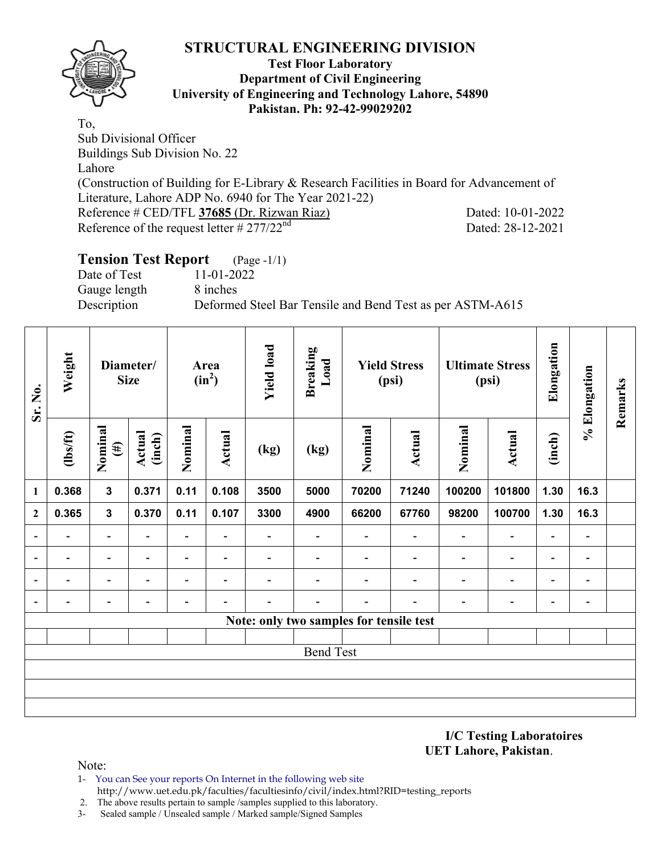

#### **Test Floor Laboratory Department of Civil Engineering University of Engineering and Technology Lahore, 54890 Pakistan. Ph: 92-42-99029202**

To, Sub Divisional Officer Buildings Sub Division No. 22 Lahore (Construction of Building for E-Library & Research Facilities in Board for Advancement of Literature, Lahore ADP No. 6940 for The Year 2021-22) Reference # CED/TFL **37685** (Dr. Rizwan Riaz) Dated: 10-01-2022 Reference of the request letter  $\# 277/22^{nd}$  Dated: 28-12-2021

### **Tension Test Report** (Page -1/1) Date of Test 11-01-2022 Gauge length 8 inches Description Deformed Steel Bar Tensile and Bend Test as per ASTM-A615

| Sr. No.                  | Weight                                  | Diameter/<br><b>Size</b> |                          | Area<br>$(in^2)$         |                          | <b>Yield load</b>        | <b>Breaking</b><br>Load  | <b>Yield Stress</b><br>(psi) |                          | <b>Ultimate Stress</b><br>(psi) |                              | Elongation               | % Elongation             | Remarks |
|--------------------------|-----------------------------------------|--------------------------|--------------------------|--------------------------|--------------------------|--------------------------|--------------------------|------------------------------|--------------------------|---------------------------------|------------------------------|--------------------------|--------------------------|---------|
|                          | $\frac{2}{10}$                          | Nominal<br>$(\#)$        | <b>Actual</b><br>(inch)  | Nominal                  | <b>Actual</b>            | (kg)                     | (kg)                     | Nominal                      | <b>Actual</b>            | Nominal                         | <b>Actual</b>                | (inch)                   |                          |         |
| 1                        | 0.368                                   | $\mathbf{3}$             | 0.371                    | 0.11                     | 0.108                    | 3500                     | 5000                     | 70200                        | 71240                    | 100200                          | 101800                       | 1.30                     | 16.3                     |         |
| $\overline{2}$           | 0.365                                   | $\mathbf{3}$             | 0.370                    | 0.11                     | 0.107                    | 3300                     | 4900                     | 66200                        | 67760                    | 98200                           | 100700                       | 1.30                     | 16.3                     |         |
|                          | $\overline{\phantom{0}}$                | $\overline{\phantom{a}}$ | $\overline{\phantom{0}}$ | Ξ.                       | $\overline{\phantom{a}}$ | $\overline{\phantom{0}}$ | $\overline{\phantom{0}}$ |                              | $\overline{\phantom{a}}$ | $\overline{\phantom{0}}$        | $\overline{a}$               | $\overline{\phantom{a}}$ | $\blacksquare$           |         |
|                          | $\overline{\phantom{0}}$                | $\overline{\phantom{0}}$ |                          | $\overline{\phantom{0}}$ | $\overline{\phantom{0}}$ |                          |                          |                              | $\overline{\phantom{0}}$ |                                 | $\overline{\phantom{0}}$     | $\overline{\phantom{a}}$ | $\blacksquare$           |         |
| $\blacksquare$           | $\overline{\phantom{0}}$                | $\blacksquare$           |                          | $\overline{\phantom{0}}$ | $\overline{\phantom{0}}$ | $\overline{\phantom{0}}$ |                          |                              | $\overline{\phantom{0}}$ | $\overline{\phantom{0}}$        | $\qquad \qquad \blacksquare$ | $\overline{\phantom{a}}$ | $\overline{\phantom{a}}$ |         |
| $\overline{\phantom{a}}$ | $\overline{\phantom{0}}$                | $\overline{\phantom{a}}$ | $\overline{\phantom{0}}$ | $\overline{\phantom{0}}$ | $\overline{\phantom{0}}$ | $\overline{\phantom{0}}$ | -                        |                              | -                        | $\overline{\phantom{0}}$        | $\qquad \qquad \blacksquare$ | $\overline{\phantom{a}}$ | $\blacksquare$           |         |
|                          | Note: only two samples for tensile test |                          |                          |                          |                          |                          |                          |                              |                          |                                 |                              |                          |                          |         |
|                          |                                         |                          |                          |                          |                          |                          |                          |                              |                          |                                 |                              |                          |                          |         |
| <b>Bend Test</b>         |                                         |                          |                          |                          |                          |                          |                          |                              |                          |                                 |                              |                          |                          |         |
|                          |                                         |                          |                          |                          |                          |                          |                          |                              |                          |                                 |                              |                          |                          |         |
|                          |                                         |                          |                          |                          |                          |                          |                          |                              |                          |                                 |                              |                          |                          |         |
|                          |                                         |                          |                          |                          |                          |                          |                          |                              |                          |                                 |                              |                          |                          |         |

**I/C Testing Laboratoires UET Lahore, Pakistan**.

- 1- You can See your reports On Internet in the following web site http://www.uet.edu.pk/faculties/facultiesinfo/civil/index.html?RID=testing\_reports
- 2. The above results pertain to sample /samples supplied to this laboratory.
- 3- Sealed sample / Unsealed sample / Marked sample/Signed Samples